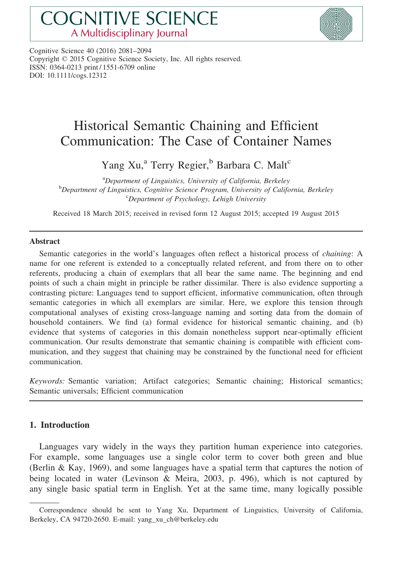# **COGNITIVE SCIENCE** A Multidisciplinary Journal



Cognitive Science 40 (2016) 2081–2094 Copyright © 2015 Cognitive Science Society, Inc. All rights reserved. ISSN: 0364-0213 print / 1551-6709 online DOI: 10.1111/cogs.12312

## Historical Semantic Chaining and Efficient Communication: The Case of Container Names

Yang Xu,<sup>a</sup> Terry Regier,<sup>b</sup> Barbara C. Malt<sup>c</sup>

<sup>a</sup>Department of Linguistics, University of California, Berkeley<br><sup>b</sup>Department of Linguistics, Cognitive Science Program, University of California  $b$ Department of Linguistics, Cognitive Science Program, University of California, Berkeley  ${}^c$ Department of Psychology, Lehigh University

Received 18 March 2015; received in revised form 12 August 2015; accepted 19 August 2015

#### Abstract

Semantic categories in the world's languages often reflect a historical process of chaining: A name for one referent is extended to a conceptually related referent, and from there on to other referents, producing a chain of exemplars that all bear the same name. The beginning and end points of such a chain might in principle be rather dissimilar. There is also evidence supporting a contrasting picture: Languages tend to support efficient, informative communication, often through semantic categories in which all exemplars are similar. Here, we explore this tension through computational analyses of existing cross-language naming and sorting data from the domain of household containers. We find (a) formal evidence for historical semantic chaining, and (b) evidence that systems of categories in this domain nonetheless support near-optimally efficient communication. Our results demonstrate that semantic chaining is compatible with efficient communication, and they suggest that chaining may be constrained by the functional need for efficient communication.

Keywords: Semantic variation; Artifact categories; Semantic chaining; Historical semantics; Semantic universals; Efficient communication

### 1. Introduction

Languages vary widely in the ways they partition human experience into categories. For example, some languages use a single color term to cover both green and blue (Berlin & Kay, 1969), and some languages have a spatial term that captures the notion of being located in water (Levinson & Meira, 2003, p. 496), which is not captured by any single basic spatial term in English. Yet at the same time, many logically possible

Correspondence should be sent to Yang Xu, Department of Linguistics, University of California, Berkeley, CA 94720-2650. E-mail: yang\_xu\_ch@berkeley.edu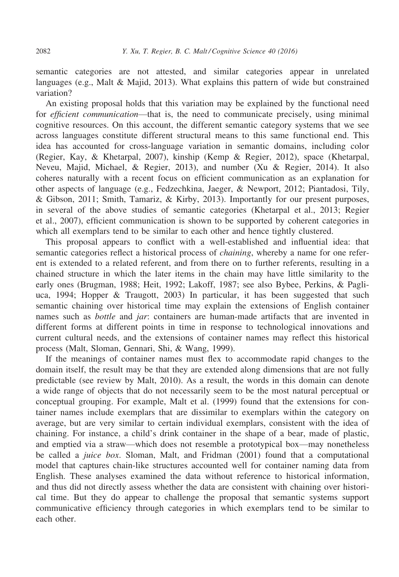semantic categories are not attested, and similar categories appear in unrelated languages (e.g., Malt & Majid, 2013). What explains this pattern of wide but constrained variation?

An existing proposal holds that this variation may be explained by the functional need for efficient communication—that is, the need to communicate precisely, using minimal cognitive resources. On this account, the different semantic category systems that we see across languages constitute different structural means to this same functional end. This idea has accounted for cross-language variation in semantic domains, including color (Regier, Kay, & Khetarpal, 2007), kinship (Kemp & Regier, 2012), space (Khetarpal, Neveu, Majid, Michael, & Regier, 2013), and number (Xu & Regier, 2014). It also coheres naturally with a recent focus on efficient communication as an explanation for other aspects of language (e.g., Fedzechkina, Jaeger, & Newport, 2012; Piantadosi, Tily, & Gibson, 2011; Smith, Tamariz, & Kirby, 2013). Importantly for our present purposes, in several of the above studies of semantic categories (Khetarpal et al., 2013; Regier et al., 2007), efficient communication is shown to be supported by coherent categories in which all exemplars tend to be similar to each other and hence tightly clustered.

This proposal appears to conflict with a well-established and influential idea: that semantic categories reflect a historical process of chaining, whereby a name for one referent is extended to a related referent, and from there on to further referents, resulting in a chained structure in which the later items in the chain may have little similarity to the early ones (Brugman, 1988; Heit, 1992; Lakoff, 1987; see also Bybee, Perkins, & Pagliuca, 1994; Hopper & Traugott, 2003) In particular, it has been suggested that such semantic chaining over historical time may explain the extensions of English container names such as *bottle* and *jar*: containers are human-made artifacts that are invented in different forms at different points in time in response to technological innovations and current cultural needs, and the extensions of container names may reflect this historical process (Malt, Sloman, Gennari, Shi, & Wang, 1999).

If the meanings of container names must flex to accommodate rapid changes to the domain itself, the result may be that they are extended along dimensions that are not fully predictable (see review by Malt, 2010). As a result, the words in this domain can denote a wide range of objects that do not necessarily seem to be the most natural perceptual or conceptual grouping. For example, Malt et al. (1999) found that the extensions for container names include exemplars that are dissimilar to exemplars within the category on average, but are very similar to certain individual exemplars, consistent with the idea of chaining. For instance, a child's drink container in the shape of a bear, made of plastic, and emptied via a straw—which does not resemble a prototypical box—may nonetheless be called a *juice box*. Sloman, Malt, and Fridman (2001) found that a computational model that captures chain-like structures accounted well for container naming data from English. These analyses examined the data without reference to historical information, and thus did not directly assess whether the data are consistent with chaining over historical time. But they do appear to challenge the proposal that semantic systems support communicative efficiency through categories in which exemplars tend to be similar to each other.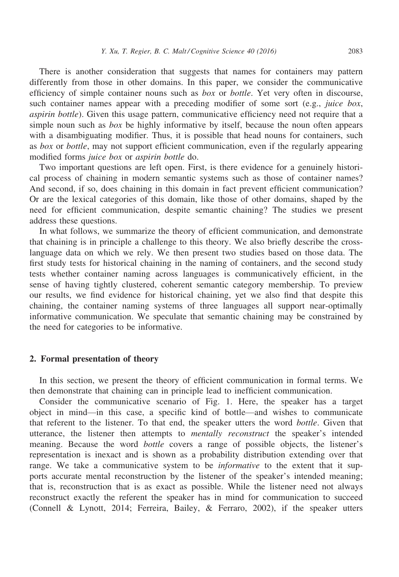There is another consideration that suggests that names for containers may pattern differently from those in other domains. In this paper, we consider the communicative efficiency of simple container nouns such as *box* or *bottle*. Yet very often in discourse, such container names appear with a preceding modifier of some sort (e.g., *juice box*, aspirin bottle). Given this usage pattern, communicative efficiency need not require that a simple noun such as *box* be highly informative by itself, because the noun often appears with a disambiguating modifier. Thus, it is possible that head nouns for containers, such as box or bottle, may not support efficient communication, even if the regularly appearing modified forms juice box or aspirin bottle do.

Two important questions are left open. First, is there evidence for a genuinely historical process of chaining in modern semantic systems such as those of container names? And second, if so, does chaining in this domain in fact prevent efficient communication? Or are the lexical categories of this domain, like those of other domains, shaped by the need for efficient communication, despite semantic chaining? The studies we present address these questions.

In what follows, we summarize the theory of efficient communication, and demonstrate that chaining is in principle a challenge to this theory. We also briefly describe the crosslanguage data on which we rely. We then present two studies based on those data. The first study tests for historical chaining in the naming of containers, and the second study tests whether container naming across languages is communicatively efficient, in the sense of having tightly clustered, coherent semantic category membership. To preview our results, we find evidence for historical chaining, yet we also find that despite this chaining, the container naming systems of three languages all support near-optimally informative communication. We speculate that semantic chaining may be constrained by the need for categories to be informative.

#### 2. Formal presentation of theory

In this section, we present the theory of efficient communication in formal terms. We then demonstrate that chaining can in principle lead to inefficient communication.

Consider the communicative scenario of Fig. 1. Here, the speaker has a target object in mind—in this case, a specific kind of bottle—and wishes to communicate that referent to the listener. To that end, the speaker utters the word bottle. Given that utterance, the listener then attempts to mentally reconstruct the speaker's intended meaning. Because the word *bottle* covers a range of possible objects, the listener's representation is inexact and is shown as a probability distribution extending over that range. We take a communicative system to be *informative* to the extent that it supports accurate mental reconstruction by the listener of the speaker's intended meaning; that is, reconstruction that is as exact as possible. While the listener need not always reconstruct exactly the referent the speaker has in mind for communication to succeed (Connell & Lynott, 2014; Ferreira, Bailey, & Ferraro, 2002), if the speaker utters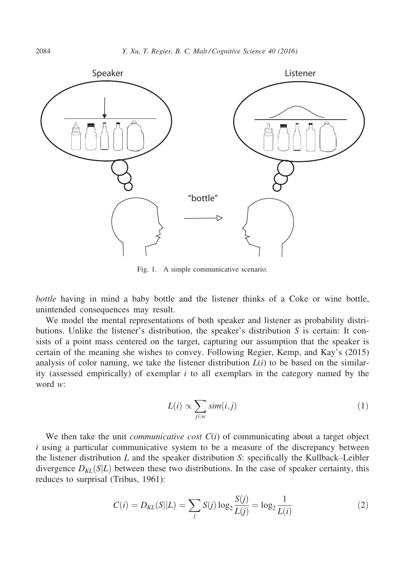

Fig. 1. A simple communicative scenario.

bottle having in mind a baby bottle and the listener thinks of a Coke or wine bottle, unintended consequences may result.

We model the mental representations of both speaker and listener as probability distributions. Unlike the listener's distribution, the speaker's distribution  $S$  is certain: It consists of a point mass centered on the target, capturing our assumption that the speaker is certain of the meaning she wishes to convey. Following Regier, Kemp, and Kay's (2015) analysis of color naming, we take the listener distribution  $L(i)$  to be based on the similarity (assessed empirically) of exemplar  $i$  to all exemplars in the category named by the word w:

$$
L(i) \propto \sum_{j \in w} sim(i, j) \tag{1}
$$

We then take the unit *communicative cost*  $C(i)$  of communicating about a target object  $i$  using a particular communicative system to be a measure of the discrepancy between the listener distribution  $L$  and the speaker distribution  $S$ : specifically the Kullback–Leibler divergence  $D_{KL}(S|L)$  between these two distributions. In the case of speaker certainty, this reduces to surprisal (Tribus, 1961):

$$
C(i) = D_{KL}(S||L) = \sum_{j} S(j) \log_2 \frac{S(j)}{L(j)} = \log_2 \frac{1}{L(i)}
$$
(2)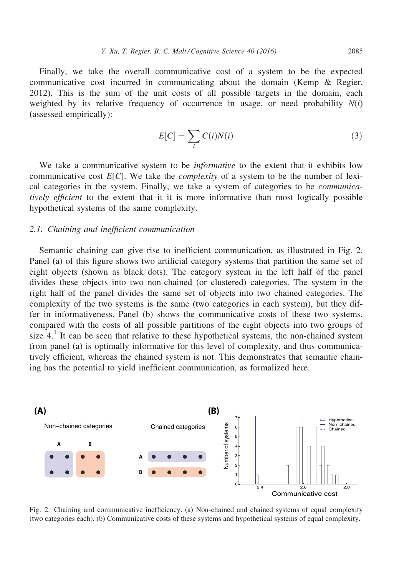Finally, we take the overall communicative cost of a system to be the expected communicative cost incurred in communicating about the domain (Kemp & Regier, 2012). This is the sum of the unit costs of all possible targets in the domain, each weighted by its relative frequency of occurrence in usage, or need probability  $N(i)$ (assessed empirically):

$$
E[C] = \sum_{i} C(i)N(i) \tag{3}
$$

We take a communicative system to be *informative* to the extent that it exhibits low communicative cost  $E[C]$ . We take the *complexity* of a system to be the number of lexical categories in the system. Finally, we take a system of categories to be communicatively efficient to the extent that it it is more informative than most logically possible hypothetical systems of the same complexity.

#### 2.1. Chaining and inefficient communication

Semantic chaining can give rise to inefficient communication, as illustrated in Fig. 2. Panel (a) of this figure shows two artificial category systems that partition the same set of eight objects (shown as black dots). The category system in the left half of the panel divides these objects into two non-chained (or clustered) categories. The system in the right half of the panel divides the same set of objects into two chained categories. The complexity of the two systems is the same (two categories in each system), but they differ in informativeness. Panel (b) shows the communicative costs of these two systems, compared with the costs of all possible partitions of the eight objects into two groups of size  $4<sup>1</sup>$  It can be seen that relative to these hypothetical systems, the non-chained system from panel (a) is optimally informative for this level of complexity, and thus communicatively efficient, whereas the chained system is not. This demonstrates that semantic chaining has the potential to yield inefficient communication, as formalized here.



Fig. 2. Chaining and communicative inefficiency. (a) Non-chained and chained systems of equal complexity (two categories each). (b) Communicative costs of these systems and hypothetical systems of equal complexity.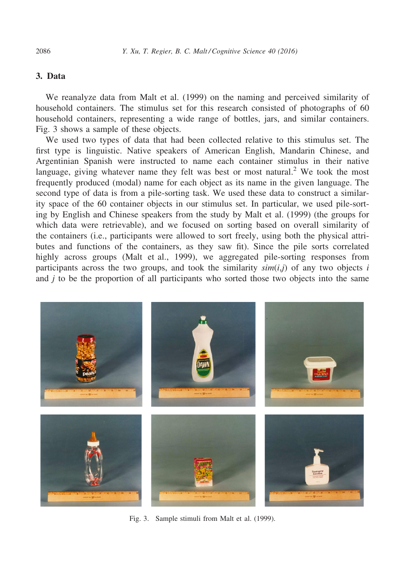## 3. Data

We reanalyze data from Malt et al. (1999) on the naming and perceived similarity of household containers. The stimulus set for this research consisted of photographs of 60 household containers, representing a wide range of bottles, jars, and similar containers. Fig. 3 shows a sample of these objects.

We used two types of data that had been collected relative to this stimulus set. The first type is linguistic. Native speakers of American English, Mandarin Chinese, and Argentinian Spanish were instructed to name each container stimulus in their native language, giving whatever name they felt was best or most natural.<sup>2</sup> We took the most frequently produced (modal) name for each object as its name in the given language. The second type of data is from a pile-sorting task. We used these data to construct a similarity space of the 60 container objects in our stimulus set. In particular, we used pile-sorting by English and Chinese speakers from the study by Malt et al. (1999) (the groups for which data were retrievable), and we focused on sorting based on overall similarity of the containers (i.e., participants were allowed to sort freely, using both the physical attributes and functions of the containers, as they saw fit). Since the pile sorts correlated highly across groups (Malt et al., 1999), we aggregated pile-sorting responses from participants across the two groups, and took the similarity  $sim(i,j)$  of any two objects i and  $i$  to be the proportion of all participants who sorted those two objects into the same



Fig. 3. Sample stimuli from Malt et al. (1999).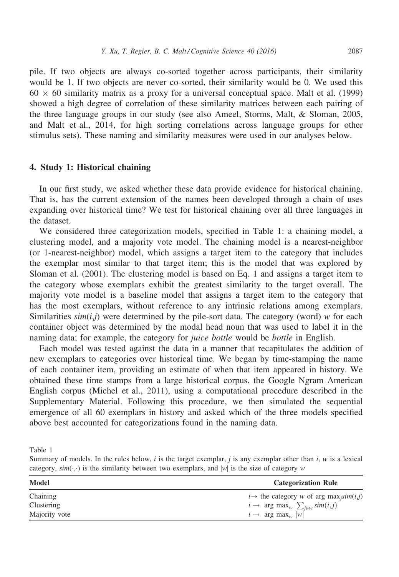pile. If two objects are always co-sorted together across participants, their similarity would be 1. If two objects are never co-sorted, their similarity would be 0. We used this  $60 \times 60$  similarity matrix as a proxy for a universal conceptual space. Malt et al. (1999) showed a high degree of correlation of these similarity matrices between each pairing of the three language groups in our study (see also Ameel, Storms, Malt, & Sloman, 2005, and Malt et al., 2014, for high sorting correlations across language groups for other stimulus sets). These naming and similarity measures were used in our analyses below.

#### 4. Study 1: Historical chaining

In our first study, we asked whether these data provide evidence for historical chaining. That is, has the current extension of the names been developed through a chain of uses expanding over historical time? We test for historical chaining over all three languages in the dataset.

We considered three categorization models, specified in Table 1: a chaining model, a clustering model, and a majority vote model. The chaining model is a nearest-neighbor (or 1-nearest-neighbor) model, which assigns a target item to the category that includes the exemplar most similar to that target item; this is the model that was explored by Sloman et al. (2001). The clustering model is based on Eq. 1 and assigns a target item to the category whose exemplars exhibit the greatest similarity to the target overall. The majority vote model is a baseline model that assigns a target item to the category that has the most exemplars, without reference to any intrinsic relations among exemplars. Similarities  $sim(i,j)$  were determined by the pile-sort data. The category (word) w for each container object was determined by the modal head noun that was used to label it in the naming data; for example, the category for *juice bottle* would be *bottle* in English.

Each model was tested against the data in a manner that recapitulates the addition of new exemplars to categories over historical time. We began by time-stamping the name of each container item, providing an estimate of when that item appeared in history. We obtained these time stamps from a large historical corpus, the Google Ngram American English corpus (Michel et al., 2011), using a computational procedure described in the Supplementary Material. Following this procedure, we then simulated the sequential emergence of all 60 exemplars in history and asked which of the three models specified above best accounted for categorizations found in the naming data.

Table 1

Summary of models. In the rules below, i is the target exemplar, j is any exemplar other than i, w is a lexical category,  $sim(\cdot, \cdot)$  is the similarity between two exemplars, and |w| is the size of category w

| Model         | <b>Categorization Rule</b>                                      |
|---------------|-----------------------------------------------------------------|
| Chaining      | $i \rightarrow$ the category w of arg max <sub>i</sub> sim(i,j) |
| Clustering    | $i \rightarrow \arg \max_{w} \sum_{j \in w} sim(i, j)$          |
| Majority vote | $i \rightarrow \arg \max_{w}  w $                               |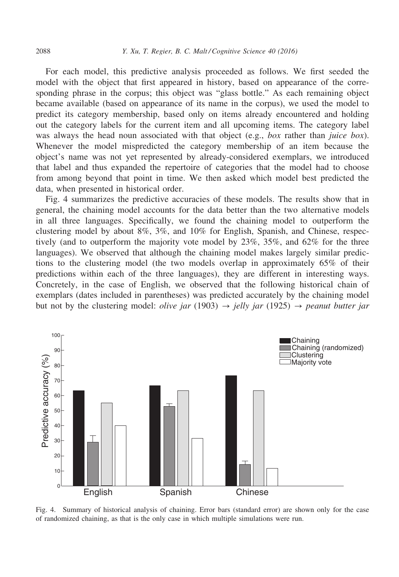For each model, this predictive analysis proceeded as follows. We first seeded the model with the object that first appeared in history, based on appearance of the corresponding phrase in the corpus; this object was "glass bottle." As each remaining object became available (based on appearance of its name in the corpus), we used the model to predict its category membership, based only on items already encountered and holding out the category labels for the current item and all upcoming items. The category label was always the head noun associated with that object (e.g., box rather than *juice box*). Whenever the model mispredicted the category membership of an item because the object's name was not yet represented by already-considered exemplars, we introduced that label and thus expanded the repertoire of categories that the model had to choose from among beyond that point in time. We then asked which model best predicted the data, when presented in historical order.

Fig. 4 summarizes the predictive accuracies of these models. The results show that in general, the chaining model accounts for the data better than the two alternative models in all three languages. Specifically, we found the chaining model to outperform the clustering model by about 8%, 3%, and 10% for English, Spanish, and Chinese, respectively (and to outperform the majority vote model by 23%, 35%, and 62% for the three languages). We observed that although the chaining model makes largely similar predictions to the clustering model (the two models overlap in approximately 65% of their predictions within each of the three languages), they are different in interesting ways. Concretely, in the case of English, we observed that the following historical chain of exemplars (dates included in parentheses) was predicted accurately by the chaining model but not by the clustering model: *olive jar* (1903)  $\rightarrow$  *jelly jar* (1925)  $\rightarrow$  *peanut butter jar* 



Fig. 4. Summary of historical analysis of chaining. Error bars (standard error) are shown only for the case of randomized chaining, as that is the only case in which multiple simulations were run.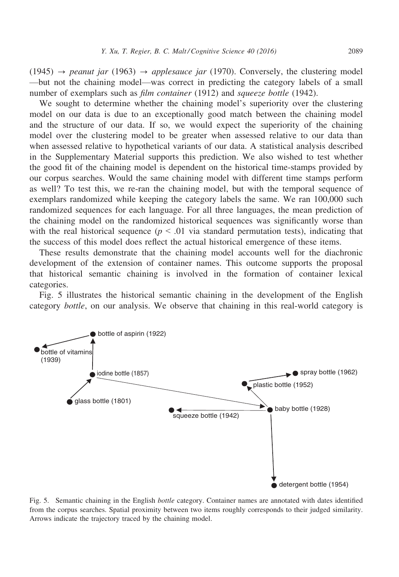$(1945)$   $\rightarrow$  peanut jar (1963)  $\rightarrow$  applesauce jar (1970). Conversely, the clustering model —but not the chaining model—was correct in predicting the category labels of a small number of exemplars such as *film container* (1912) and *squeeze bottle* (1942).

We sought to determine whether the chaining model's superiority over the clustering model on our data is due to an exceptionally good match between the chaining model and the structure of our data. If so, we would expect the superiority of the chaining model over the clustering model to be greater when assessed relative to our data than when assessed relative to hypothetical variants of our data. A statistical analysis described in the Supplementary Material supports this prediction. We also wished to test whether the good fit of the chaining model is dependent on the historical time-stamps provided by our corpus searches. Would the same chaining model with different time stamps perform as well? To test this, we re-ran the chaining model, but with the temporal sequence of exemplars randomized while keeping the category labels the same. We ran 100,000 such randomized sequences for each language. For all three languages, the mean prediction of the chaining model on the randomized historical sequences was significantly worse than with the real historical sequence ( $p < .01$  via standard permutation tests), indicating that the success of this model does reflect the actual historical emergence of these items.

These results demonstrate that the chaining model accounts well for the diachronic development of the extension of container names. This outcome supports the proposal that historical semantic chaining is involved in the formation of container lexical categories.

Fig. 5 illustrates the historical semantic chaining in the development of the English category bottle, on our analysis. We observe that chaining in this real-world category is



Fig. 5. Semantic chaining in the English bottle category. Container names are annotated with dates identified from the corpus searches. Spatial proximity between two items roughly corresponds to their judged similarity. Arrows indicate the trajectory traced by the chaining model.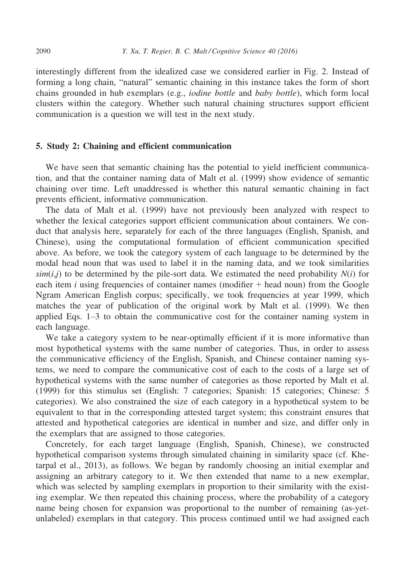interestingly different from the idealized case we considered earlier in Fig. 2. Instead of forming a long chain, "natural" semantic chaining in this instance takes the form of short chains grounded in hub exemplars (e.g., iodine bottle and baby bottle), which form local clusters within the category. Whether such natural chaining structures support efficient communication is a question we will test in the next study.

#### 5. Study 2: Chaining and efficient communication

We have seen that semantic chaining has the potential to yield inefficient communication, and that the container naming data of Malt et al. (1999) show evidence of semantic chaining over time. Left unaddressed is whether this natural semantic chaining in fact prevents efficient, informative communication.

The data of Malt et al. (1999) have not previously been analyzed with respect to whether the lexical categories support efficient communication about containers. We conduct that analysis here, separately for each of the three languages (English, Spanish, and Chinese), using the computational formulation of efficient communication specified above. As before, we took the category system of each language to be determined by the modal head noun that was used to label it in the naming data, and we took similarities  $sim(i,j)$  to be determined by the pile-sort data. We estimated the need probability  $N(i)$  for each item  $i$  using frequencies of container names (modifier  $+$  head noun) from the Google Ngram American English corpus; specifically, we took frequencies at year 1999, which matches the year of publication of the original work by Malt et al. (1999). We then applied Eqs. 1–3 to obtain the communicative cost for the container naming system in each language.

We take a category system to be near-optimally efficient if it is more informative than most hypothetical systems with the same number of categories. Thus, in order to assess the communicative efficiency of the English, Spanish, and Chinese container naming systems, we need to compare the communicative cost of each to the costs of a large set of hypothetical systems with the same number of categories as those reported by Malt et al. (1999) for this stimulus set (English: 7 categories; Spanish: 15 categories; Chinese: 5 categories). We also constrained the size of each category in a hypothetical system to be equivalent to that in the corresponding attested target system; this constraint ensures that attested and hypothetical categories are identical in number and size, and differ only in the exemplars that are assigned to those categories.

Concretely, for each target language (English, Spanish, Chinese), we constructed hypothetical comparison systems through simulated chaining in similarity space (cf. Khetarpal et al., 2013), as follows. We began by randomly choosing an initial exemplar and assigning an arbitrary category to it. We then extended that name to a new exemplar, which was selected by sampling exemplars in proportion to their similarity with the existing exemplar. We then repeated this chaining process, where the probability of a category name being chosen for expansion was proportional to the number of remaining (as-yetunlabeled) exemplars in that category. This process continued until we had assigned each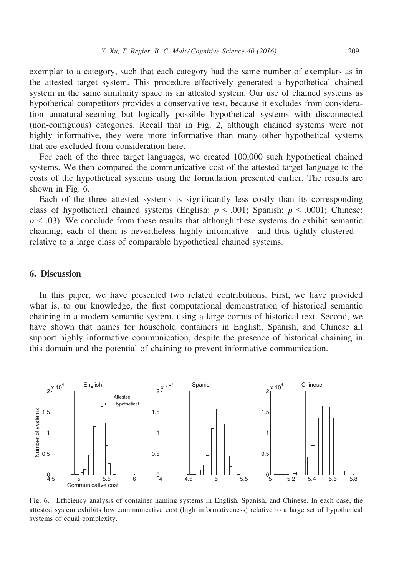exemplar to a category, such that each category had the same number of exemplars as in the attested target system. This procedure effectively generated a hypothetical chained system in the same similarity space as an attested system. Our use of chained systems as hypothetical competitors provides a conservative test, because it excludes from consideration unnatural-seeming but logically possible hypothetical systems with disconnected (non-contiguous) categories. Recall that in Fig. 2, although chained systems were not highly informative, they were more informative than many other hypothetical systems that are excluded from consideration here.

For each of the three target languages, we created 100,000 such hypothetical chained systems. We then compared the communicative cost of the attested target language to the costs of the hypothetical systems using the formulation presented earlier. The results are shown in Fig. 6.

Each of the three attested systems is significantly less costly than its corresponding class of hypothetical chained systems (English:  $p \le 0.001$ ; Spanish:  $p \le 0.0001$ ; Chinese:  $p < .03$ ). We conclude from these results that although these systems do exhibit semantic chaining, each of them is nevertheless highly informative—and thus tightly clustered relative to a large class of comparable hypothetical chained systems.

#### 6. Discussion

In this paper, we have presented two related contributions. First, we have provided what is, to our knowledge, the first computational demonstration of historical semantic chaining in a modern semantic system, using a large corpus of historical text. Second, we have shown that names for household containers in English, Spanish, and Chinese all support highly informative communication, despite the presence of historical chaining in this domain and the potential of chaining to prevent informative communication.



Fig. 6. Efficiency analysis of container naming systems in English, Spanish, and Chinese. In each case, the attested system exhibits low communicative cost (high informativeness) relative to a large set of hypothetical systems of equal complexity.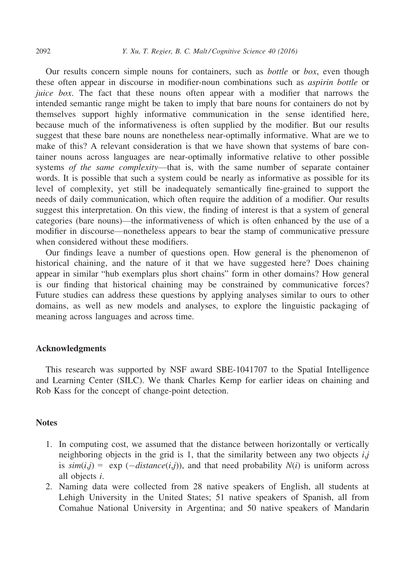Our results concern simple nouns for containers, such as *bottle* or *box*, even though these often appear in discourse in modifier-noun combinations such as aspirin bottle or juice box. The fact that these nouns often appear with a modifier that narrows the intended semantic range might be taken to imply that bare nouns for containers do not by themselves support highly informative communication in the sense identified here, because much of the informativeness is often supplied by the modifier. But our results suggest that these bare nouns are nonetheless near-optimally informative. What are we to make of this? A relevant consideration is that we have shown that systems of bare container nouns across languages are near-optimally informative relative to other possible systems of the same complexity—that is, with the same number of separate container words. It is possible that such a system could be nearly as informative as possible for its level of complexity, yet still be inadequately semantically fine-grained to support the needs of daily communication, which often require the addition of a modifier. Our results suggest this interpretation. On this view, the finding of interest is that a system of general categories (bare nouns)—the informativeness of which is often enhanced by the use of a modifier in discourse—nonetheless appears to bear the stamp of communicative pressure when considered without these modifiers.

Our findings leave a number of questions open. How general is the phenomenon of historical chaining, and the nature of it that we have suggested here? Does chaining appear in similar "hub exemplars plus short chains" form in other domains? How general is our finding that historical chaining may be constrained by communicative forces? Future studies can address these questions by applying analyses similar to ours to other domains, as well as new models and analyses, to explore the linguistic packaging of meaning across languages and across time.

#### Acknowledgments

This research was supported by NSF award SBE-1041707 to the Spatial Intelligence and Learning Center (SILC). We thank Charles Kemp for earlier ideas on chaining and Rob Kass for the concept of change-point detection.

#### **Notes**

- 1. In computing cost, we assumed that the distance between horizontally or vertically neighboring objects in the grid is 1, that the similarity between any two objects  $i, j$ is  $sim(i,j)$  = exp ( $-distance(i,j)$ ), and that need probability  $N(i)$  is uniform across all objects i.
- 2. Naming data were collected from 28 native speakers of English, all students at Lehigh University in the United States; 51 native speakers of Spanish, all from Comahue National University in Argentina; and 50 native speakers of Mandarin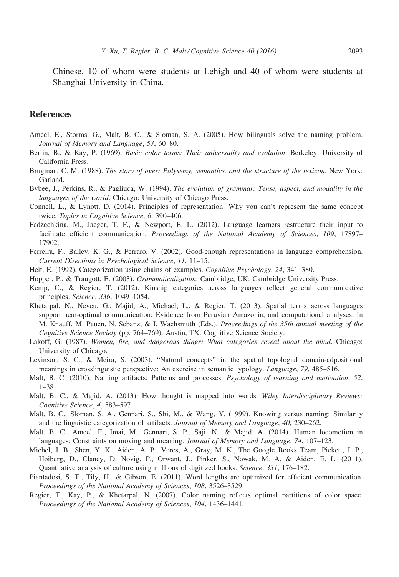Chinese, 10 of whom were students at Lehigh and 40 of whom were students at Shanghai University in China.

#### References

- Ameel, E., Storms, G., Malt, B. C., & Sloman, S. A. (2005). How bilinguals solve the naming problem. Journal of Memory and Language, 53, 60–80.
- Berlin, B., & Kay, P. (1969). Basic color terms: Their universality and evolution. Berkeley: University of California Press.
- Brugman, C. M. (1988). The story of over: Polysemy, semantics, and the structure of the lexicon. New York: Garland.
- Bybee, J., Perkins, R., & Pagliuca, W. (1994). The evolution of grammar: Tense, aspect, and modality in the languages of the world. Chicago: University of Chicago Press.
- Connell, L., & Lynott, D. (2014). Principles of representation: Why you can't represent the same concept twice. Topics in Cognitive Science, 6, 390–406.
- Fedzechkina, M., Jaeger, T. F., & Newport, E. L. (2012). Language learners restructure their input to facilitate efficient communication. Proceedings of the National Academy of Sciences, 109, 17897– 17902.
- Ferreira, F., Bailey, K. G., & Ferraro, V. (2002). Good-enough representations in language comprehension. Current Directions in Psychological Science, 11, 11–15.
- Heit, E. (1992). Categorization using chains of examples. Cognitive Psychology, 24, 341–380.
- Hopper, P., & Traugott, E. (2003). Grammaticalization. Cambridge, UK: Cambridge University Press.
- Kemp, C., & Regier, T. (2012). Kinship categories across languages reflect general communicative principles. Science, 336, 1049–1054.
- Khetarpal, N., Neveu, G., Majid, A., Michael, L., & Regier, T. (2013). Spatial terms across languages support near-optimal communication: Evidence from Peruvian Amazonia, and computational analyses. In M. Knauff, M. Pauen, N. Sebanz, & I. Wachsmuth (Eds.), Proceedings of the 35th annual meeting of the Cognitive Science Society (pp. 764–769). Austin, TX: Cognitive Science Society.
- Lakoff, G. (1987). Women, fire, and dangerous things: What categories reveal about the mind. Chicago: University of Chicago.
- Levinson, S. C., & Meira, S. (2003). "Natural concepts" in the spatial topologial domain-adpositional meanings in crosslinguistic perspective: An exercise in semantic typology. *Language*, 79, 485–516.
- Malt, B. C. (2010). Naming artifacts: Patterns and processes. Psychology of learning and motivation, 52, 1–38.
- Malt, B. C., & Majid, A. (2013). How thought is mapped into words. Wiley Interdisciplinary Reviews: Cognitive Science, 4, 583–597.
- Malt, B. C., Sloman, S. A., Gennari, S., Shi, M., & Wang, Y. (1999). Knowing versus naming: Similarity and the linguistic categorization of artifacts. Journal of Memory and Language, 40, 230–262.
- Malt, B. C., Ameel, E., Imai, M., Gennari, S. P., Saji, N., & Majid, A. (2014). Human locomotion in languages: Constraints on moving and meaning. Journal of Memory and Language, 74, 107-123.
- Michel, J. B., Shen, Y. K., Aiden, A. P., Veres, A., Gray, M. K., The Google Books Team, Pickett, J. P., Hoiberg, D., Clancy, D. Novig, P., Orwant, J., Pinker, S., Nowak, M. A. & Aiden, E. L. (2011). Quantitative analysis of culture using millions of digitized books. Science, 331, 176–182.
- Piantadosi, S. T., Tily, H., & Gibson, E. (2011). Word lengths are optimized for efficient communication. Proceedings of the National Academy of Sciences, 108, 3526–3529.
- Regier, T., Kay, P., & Khetarpal, N. (2007). Color naming reflects optimal partitions of color space. Proceedings of the National Academy of Sciences, 104, 1436–1441.